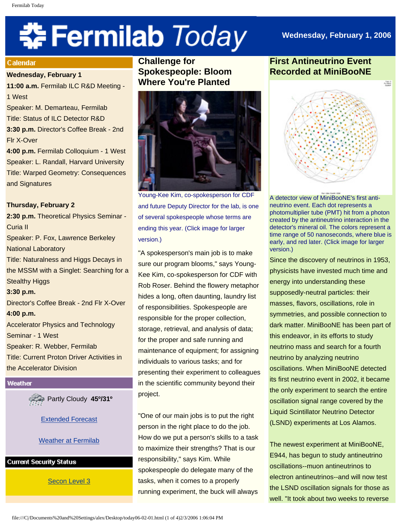# **‡⊱ Fermilab** *Today*

# **Wednesday, February 1, 2006**

### Calendar

**Wednesday, February 1**

**11:00 a.m.** Fermilab ILC R&D Meeting - 1 West

Speaker: M. Demarteau, Fermilab Title: Status of ILC Detector R&D

**3:30 p.m.** Director's Coffee Break - 2nd Flr X-Over

**4:00 p.m.** Fermilab Colloquium - 1 West Speaker: L. Randall, Harvard University Title: Warped Geometry: Consequences and Signatures

# **Thursday, February 2**

**2:30 p.m.** Theoretical Physics Seminar - Curia II Speaker: P. Fox, Lawrence Berkeley National Laboratory Title: Naturalness and Higgs Decays in the MSSM with a Singlet: Searching for a Stealthy Higgs **3:30 p.m.** Director's Coffee Break - 2nd Flr X-Over **4:00 p.m.** Accelerator Physics and Technology Seminar - 1 West Speaker: R. Webber, Fermilab Title: Current Proton Driver Activities in the Accelerator Division

### Weather

Partly Cloudy **45º/31º**

[Extended Forecast](http://www.srh.noaa.gov/data/forecasts/ILZ012.php?warncounty=ILC089&city=Batavia)

# [Weather at Fermilab](http://www-esh.fnal.gov/pls/default/weather.html)

# **Current Security Status**

[Secon Level 3](http://www.fnal.gov/pub/about/public_affairs/currentstatus.html)

**Challenge for Spokespeople: Bloom Where You're Planted** 



Young-Kee Kim, co-spokesperson for CDF and future Deputy Director for the lab, is one of several spokespeople whose terms are ending this year. (Click image for larger version.)

"A spokesperson's main job is to make sure our program blooms," says Young-Kee Kim, co-spokesperson for CDF with Rob Roser. Behind the flowery metaphor hides a long, often daunting, laundry list of responsibilities. Spokespeople are responsible for the proper collection, storage, retrieval, and analysis of data; for the proper and safe running and maintenance of equipment; for assigning individuals to various tasks; and for presenting their experiment to colleagues in the scientific community beyond their project.

"One of our main jobs is to put the right person in the right place to do the job. How do we put a person's skills to a task to maximize their strengths? That is our responsibility," says Kim. While spokespeople do delegate many of the tasks, when it comes to a properly running experiment, the buck will always

# **First Antineutrino Event Recorded at MiniBooNE**



A detector view of MiniBooNE's first antineutrino event. Each dot represents a photomultiplier tube (PMT) hit from a photon created by the antineutrino interaction in the detector's mineral oil. The colors represent a time range of 50 nanoseconds, where blue is early, and red later. (Click image for larger version.)

Since the discovery of neutrinos in 1953, physicists have invested much time and energy into understanding these supposedly-neutral particles: their masses, flavors, oscillations, role in symmetries, and possible connection to dark matter. MiniBooNE has been part of this endeavor, in its efforts to study neutrino mass and search for a fourth neutrino by analyzing neutrino oscillations. When MiniBooNE detected its first neutrino event in 2002, it became the only experiment to search the entire oscillation signal range covered by the Liquid Scintillator Neutrino Detector (LSND) experiments at Los Alamos.

The newest experiment at MiniBooNE, E944, has begun to study antineutrino oscillations--muon antineutrinos to electron antineutrinos--and will now test the LSND oscillation signals for those as well. "It took about two weeks to reverse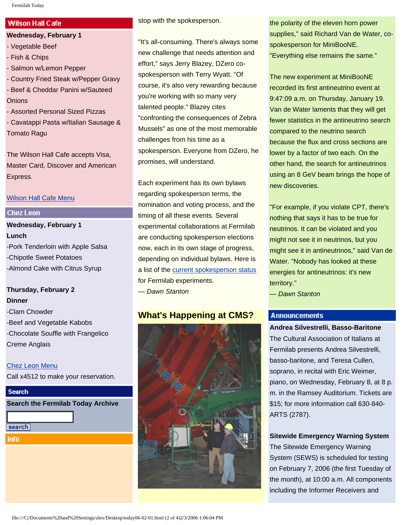### Fermilab Today

# **Wilson Hall Cafe**

**Wednesday, February 1**

- Vegetable Beef
- Fish & Chips
- Salmon w/Lemon Pepper
- Country Fried Steak w/Pepper Gravy - Beef & Cheddar Panini w/Sauteed **Onions**
- Assorted Personal Sized Pizzas - Cavatappi Pasta w/Italian Sausage & Tomato Ragu

The Wilson Hall Cafe accepts Visa, Master Card, Discover and American Express.

# [Wilson Hall Cafe Menu](http://lss.fnal.gov/cafe/)

# **Chez Leon**

# **Wednesday, February 1 Lunch** -Pork Tenderloin with Apple Salsa -Chipotle Sweet Potatoes -Almond Cake with Citrus Syrup

# **Thursday, February 2 Dinner**

-Clam Chowder -Beef and Vegetable Kabobs -Chocolate Souffle with Frangelico Creme Anglais

# [Chez Leon Menu](http://lss.fnal.gov/chezleon/index.html)

Call x4512 to make your reservation.

# **Search Search the Fermilab Today Archive** search Info

stop with the spokesperson.

"It's all-consuming. There's always some new challenge that needs attention and effort," says Jerry Blazey, DZero cospokesperson with Terry Wyatt. "Of course, it's also very rewarding because you're working with so many very talented people." Blazey cites "confronting the consequences of Zebra Mussels" as one of the most memorable challenges from his time as a spokesperson. Everyone from DZero, he promises, will understand.

Each experiment has its own bylaws regarding spokesperson terms, the nomination and voting process, and the timing of all these events. Several experimental collaborations at Fermilab are conducting spokesperson elections now, each in its own stage of progress, depending on individual bylaws. Here is a list of the [current spokesperson status](http://www.fnal.gov/pub/today/spokespeople.html) for Fermilab experiments.

*— Dawn Stanton*

# **What's Happening at CMS?**



the polarity of the eleven horn power supplies," said Richard Van de Water, cospokesperson for MiniBooNE. "Everything else remains the same."

The new experiment at MiniBooNE recorded its first antineutrino event at 9:47:09 a.m. on Thursday, January 19. Van de Water laments that they will get fewer statistics in the antineutrino search compared to the neutrino search because the flux and cross sections are lower by a factor of two each. On the other hand, the search for antineutrinos using an 8 GeV beam brings the hope of new discoveries.

"For example, if you violate CPT, there's nothing that says it has to be true for neutrinos. It can be violated and you might not see it in neutrinos, but you might see it in antineutrinos," said Van de Water. "Nobody has looked at these energies for antineutrinos: it's new territory."

*— Dawn Stanton*

# **Announcements**

**Andrea Silvestrelli, Basso-Baritone** The Cultural Association of Italians at Fermilab presents Andrea Silvestrelli, basso-baritone, and Teresa Cullen, soprano, in recital with Eric Weimer, piano, on Wednesday, February 8, at 8 p. m. in the Ramsey Auditorium. Tickets are \$15; for more information call 630-840- ARTS (2787).

**Sitewide Emergency Warning System**

The Sitewide Emergency Warning System (SEWS) is scheduled for testing on February 7, 2006 (the first Tuesday of the month), at 10:00 a.m. All components including the Informer Receivers and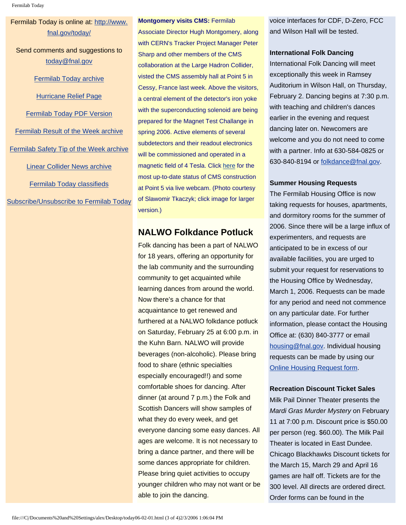# Fermilab Today is online at: [http://www.](http://www.fnal.gov/today/) [fnal.gov/today/](http://www.fnal.gov/today/)

Send comments and suggestions to [today@fnal.gov](mailto:today@fnal.gov)

[Fermilab Today archive](http://www.fnal.gov/pub/today/archive.html)

[Hurricane Relief Page](http://www.fnal.gov/pub/today/katrina_relief.html)

[Fermilab Today PDF Version](http://www.fnal.gov/pub/today/archive.html)

[Fermilab Result of the Week archive](http://www.fnal.gov/pub/today/resultoftheweek/index.html) [Fermilab Safety Tip of the Week archive](http://www.fnal.gov/pub/today/safety/index.html) [Linear Collider News archive](http://www.fnal.gov/pub/today/linearcollider/index.html) [Fermilab Today classifieds](http://www.fnal.gov/pub/today/classifieds.html) [Subscribe/Unsubscribe to Fermilab Today](http://www.fnal.gov/pub/today/subscription.html)

### **Montgomery visits CMS:** Fermilab

Associate Director Hugh Montgomery, along with CERN's Tracker Project Manager Peter Sharp and other members of the CMS collaboration at the Large Hadron Collider, visted the CMS assembly hall at Point 5 in Cessy, France last week. Above the visitors, a central element of the detector's iron yoke with the superconducting solenoid are being prepared for the Magnet Test Challange in spring 2006. Active elements of several subdetectors and their readout electronics will be commissioned and operated in a magnetic field of 4 Tesla. Click [here](http://cmsinfo.cern.ch/outreach/cmseye/index.html) for the most up-to-date status of CMS construction at Point 5 via live webcam. (Photo courtesy of Slawomir Tkaczyk; click image for larger version.)

# **NALWO Folkdance Potluck**

Folk dancing has been a part of NALWO for 18 years, offering an opportunity for the lab community and the surrounding community to get acquainted while learning dances from around the world. Now there's a chance for that acquaintance to get renewed and furthered at a NALWO folkdance potluck on Saturday, February 25 at 6:00 p.m. in the Kuhn Barn. NALWO will provide beverages (non-alcoholic). Please bring food to share (ethnic specialties especially encouraged!!) and some comfortable shoes for dancing. After dinner (at around 7 p.m.) the Folk and Scottish Dancers will show samples of what they do every week, and get everyone dancing some easy dances. All ages are welcome. It is not necessary to bring a dance partner, and there will be some dances appropriate for children. Please bring quiet activities to occupy younger children who may not want or be able to join the dancing.

voice interfaces for CDF, D-Zero, FCC and Wilson Hall will be tested.

# **International Folk Dancing**

International Folk Dancing will meet exceptionally this week in Ramsey Auditorium in Wilson Hall, on Thursday, February 2. Dancing begins at 7:30 p.m. with teaching and children's dances earlier in the evening and request dancing later on. Newcomers are welcome and you do not need to come with a partner. Info at 630-584-0825 or 630-840-8194 or [folkdance@fnal.gov](mailto:folkdance@fnal.gov).

# **Summer Housing Requests**

The Fermilab Housing Office is now taking requests for houses, apartments, and dormitory rooms for the summer of 2006. Since there will be a large influx of experimenters, and requests are anticipated to be in excess of our available facilities, you are urged to submit your request for reservations to the Housing Office by Wednesday, March 1, 2006. Requests can be made for any period and need not commence on any particular date. For further information, please contact the Housing Office at: (630) 840-3777 or email [housing@fnal.gov.](mailto:housing@fnal.gov) Individual housing requests can be made by using our [Online Housing Request form](http://lss.fnal.gov/housing/housing_request.html).

# **Recreation Discount Ticket Sales**

Milk Pail Dinner Theater presents the *Mardi Gras Murder Mystery* on February 11 at 7:00 p.m. Discount price is \$50.00 per person (reg. \$60.00). The Milk Pail Theater is located in East Dundee. Chicago Blackhawks Discount tickets for the March 15, March 29 and April 16 games are half off. Tickets are for the 300 level. All directs are ordered direct. Order forms can be found in the